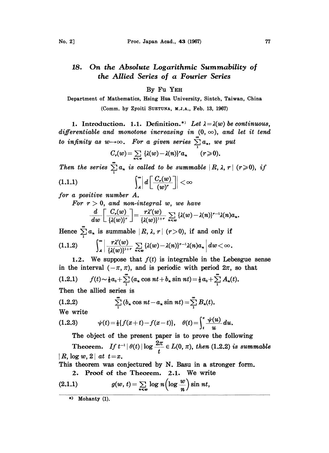## On the Absolute Logarithmic Summability o 18. the Allied Series of a Fourier Series

## By Fu YEH

Department of Mathematics, Hsing Hua University, Sintch, Taiwan, China (Comm. by Zyoiti SUETUNA, M.J.A., Feb. 13, 1967)

1. Introduction. 1.1. Definition.<sup>\*</sup> Let  $\lambda = \lambda(w)$  be continuous, differentiable and monotone increasing in  $(0, \infty)$ , and let it tend to infinity as  $w\rightarrow\infty$ . For a given series

$$
C_r(w) = \sum_{n \leq w} \left\{ \lambda(w) - \lambda(n) \right\}^r a_n \qquad (r \geqslant 0).
$$

Then the series  $\sum_{1}^{\infty} a_n$  is called to be summable  $|R, \lambda, r|$  ( $r\geqslant 0$ ), if  $\left|\int_{A}^{\infty}\right|d\left[\frac{C_r(w)}{(w)^r}\right]<\infty$  $(1.1.1)$ 

for a positive number A.

For  $r > 0$ , and non-integral w, we have

$$
\frac{d}{dw}\bigg[\frac{C_r(w)}{\{\lambda(w)\}^r}\bigg]=\frac{r\lambda'(w)}{\{\lambda(w)\}^{1+r}}\sum_{n\leq w}\{\lambda(w)-\lambda(n)\}^{r-1}\lambda(n)a_n.
$$

Hence  $\sum_{i=1}^{\infty} a_i$  is summable  $|R, \lambda, r|(r>0)$ , if and only if  $\int_{A}^{\infty} \left| \frac{r \lambda'(w)}{\{\lambda(w)\}^{1+r}} \sum_{n \leq w} {\{\lambda(w) - \lambda(n)\}^{r-1} \lambda(n)a_n} \right| dw < \infty.$  $(1.1.2)$ 

1.2. We suppose that  $f(t)$  is integrable in the Lebesgue sense in the interval  $(-\pi, \pi)$ , and is periodic with period  $2\pi$ , so that (1.2.1)  $f(t) \sim \frac{1}{2}a_0 + \sum_{i=1}^{\infty} (a_i \cos nt + b_i \sin nt) = \frac{1}{2}a_0 + \sum_{i=1}^{\infty} A_n(t).$ Then the allied series is

(1.2.2) 
$$
\sum_{1}^{\infty} (b_n \cos nt - a_n \sin nt) = \sum_{1}^{\infty} B_n(t).
$$

We write

(1.2.3) 
$$
\psi(t) = \frac{1}{2} \{f(x+t) - f(x-t)\}, \quad \theta(t) = \int_{t}^{\pi} \frac{\psi(u)}{u} du.
$$

The object of the present paper is to prove the following The object of the present paper is to prove the following<br>Theorem. If  $t^{-1} |\theta(t)| \log \frac{2\pi}{t} \in L(0, \pi)$ , then (1.2.2) is summable  $|R$ ,  $log w$ ,  $2|$  at  $t=x$ .

This theorem was conjectured by N. Basu in a stronger form.

2. Proof of the Theorem. 2.1. We write

(2.1.1) 
$$
g(w, t) = \sum_{n \leq w} \log n \left( \log \frac{w}{n} \right) \sin nt,
$$

<sup>\*)</sup> Mohanty (1).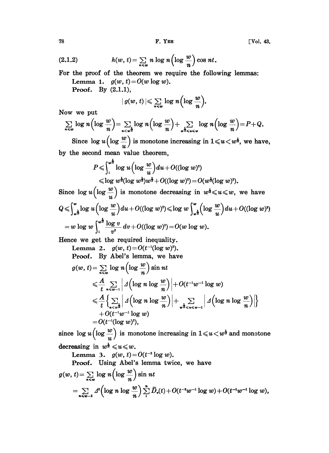(2.1.2) 
$$
h(w, t) = \sum_{n \leq w} n \log n \left(\log \frac{w}{n}\right) \cos nt.
$$
  
For the proof of the theorem we require the follow  
Lemma 1.  $g(w, t) = O(w \log w)$ .  
Proof. By (2.1.1),

For the proof of the theorem we require the following lemmas: Lemma 1.  $g(w, t) = O(w \log w)$ .

**Proof.** By  $(2.1.1)$ ,

$$
|\, g(w,\,t)\,| \leqslant \sum_{n\leqslant w} \log\,n \Bigl(\log \frac{w}{n}\Bigr).
$$

Now we put

$$
\sum_{n\leq w} \log n \left( \log \frac{w}{n} \right) = \sum_{n < w^2} \log n \left( \log \frac{w}{n} \right) + \sum_{w^2 < n < w} \log n \left( \log \frac{w}{n} \right) = P + Q.
$$

Since  $\log u \Bigl(\log \dfrac{w}{u}\Bigr)$  is monotone increasing in  $1 \!\leqslant\! u \!<\! w^{\frac{1}{2}},$  we have, by the second mean value theorem,

$$
P \leqslant \int_{1}^{w^2} \log u \left( \log \frac{w}{u} \right) du + O((\log w)^2)
$$
  

$$
\leqslant \log w^{\frac{1}{2}} (\log w^{\frac{1}{2}}) w^{\frac{1}{2}} + O((\log w)^2) = O(w^{\frac{1}{2}} (\log w)^2).
$$

Since  $\log u \left( \log \frac{w}{u} \right)$  is monotone decreasing in  $w^{\frac{1}{2}} \leq u \leq w$ , we have <sup>Q</sup> .Iog <sup>u</sup> log w du +O((log w)s) log <sup>w</sup> . log <sup>w</sup> du O((log w))  $w = w \log w \int_1^{w^2} \frac{\log v}{v^2} dv + O((\log w)^2) = O(w \log w).$ 

Hence we get the required inequality.

Lemma 2. 
$$
g(w, t) = O(t^{-1}(\log w)^2)
$$
.  
\nProof. By Abel's lemma, we have  
\n
$$
g(w, t) = \sum_{n \leq w} \log n \left( \log \frac{w}{n} \right) \sin nt
$$
\n
$$
\leq \frac{A}{t} \sum_{n \leq w-1} \left| A \left( \log n \log \frac{w}{n} \right) \right| + O(t^{-1}w^{-1} \log w)
$$
\n
$$
\leq \frac{A}{t} \left\{ \sum_{n \leq w} \left| A \left( \log n \log \frac{w}{n} \right) \right| + \sum_{w^{\frac{1}{2}} \leq n \leq w-1} \left| A \left( \log n \log \frac{w}{n} \right) \right| + O(t^{-1}w^{-1} \log w)
$$
\n
$$
= O(t^{-1}(\log w)^2),
$$

since  $\log u \left(\log \frac{w}{u}\right)$  is monotone increasing in  $1 \leq u \leq w^{\frac{1}{2}}$  and monotone decreasing in  $w^{\frac{1}{2}} \leq u \leq w$ .

Lemma 3.  $g(w, t) = O(t^{-2} \log w)$ .

Lemma 3.  $g(w, t) = O(t^{-2} \log w)$ .<br>Proof. Using Abel's lemma twice, we have

$$
g(w, t) = \sum_{n \leq w} \log n \left( \log \frac{w}{n} \right) \sin nt
$$
  
= 
$$
\sum_{n \leq w-2} \Delta^2 \left( \log n \log \frac{w}{n} \right) \sum_{1}^{n} \widetilde{D}_v(t) + O(t^{-2}w^{-1} \log w) + O(t^{-2}w^{-1} \log w),
$$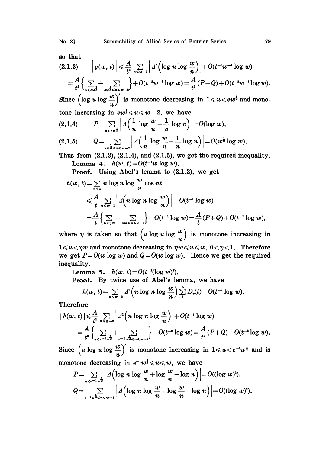so that

$$
(2.1.3) \qquad \left| g(w, t) \right| \leq \frac{A}{t^2} \sum_{n \leq w-2} \left| \int d^2 \left( \log n \log \frac{w}{n} \right) \right| + O(t^{-2}w^{-1} \log w)
$$
\n
$$
= \frac{A}{t^2} \Biggl\{ \sum_{n \leq w/2} + \sum_{\substack{e \leq w \leq w-2}} \left| \int d^2 \left( \log n \log w \right) \right| = \frac{A}{t^2} (P+Q) + O(t^{-2}w^{-1} \log w).
$$

Since  $\left(\log u \log \frac{w}{u}\right)^n$  is monotone decreasing in  $1 \leq u \leq e^{u}$  and mono-

one increasing in 
$$
ew^{\frac{1}{2}} \leq u \leq w-2
$$
, we have

\n(2.1.4) 
$$
P = \sum_{n < w^{\frac{1}{2}}} \left| A\left(\frac{1}{n} \log \frac{w}{n} - \frac{1}{n} \log n\right) \right| = O(\log w),
$$

$$
(2.1.5) \tQ = \sum_{\epsilon w^{\frac{1}{2}} \leq n \leq w-2} \left| \Delta \left( \frac{1}{n} \log \frac{w}{n} - \frac{1}{n} \log n \right) \right| = O(w^{\frac{1}{2}} \log w).
$$

Thus from  $(2.1.3)$ ,  $(2.1.4)$ , and  $(2.1.5)$ , we get the required inequality. Lemma 4.  $h(w, t) = O(t^{-1}w \log w)$ .

Proof. Using Abel's lemma to (2.1.2), we get

$$
h(w, t) = \sum_{n \leq w} n \log n \log \frac{w}{n} \cos nt
$$
  
\n
$$
\leq \frac{A}{t} \sum_{n \leq w-1} \left| A\left(n \log n \log \frac{w}{n}\right) \right| + O(t^{-1} \log w)
$$
  
\n
$$
= \frac{A}{t} \left\{ \sum_{n \leq w} + \sum_{nw \leq n \leq w-1} \right\} + O(t^{-1} \log w) = \frac{A}{t} (P+Q) + O(t^{-1} \log w),
$$

where  $\eta$  is taken so that  $\left( u \log u \log \frac{w}{u} \right)$  is monotone increasing in  $1 \leq u \leq \eta w$  and monotone decreasing in  $\eta w \leq u \leq w$ ,  $0 \leq \eta \leq 1$ . Therefore we get  $P=O(w \log w)$  and  $Q=O(w \log w)$ . Hence we get the required inequality.

Lemma 5.  $h(w, t) = O(t^{-2}(\log w)^2)$ .

Proof. By twice use of Abel's lemma, we have

$$
h(w, t) = \sum_{n \leq w-2} 4^{2} \left( n \log n \log \frac{w}{n} \right) \sum_{1}^{n} D_{v}(t) + O(t^{-2} \log w).
$$

Therefore

$$
|h(w, t)| \leqslant \frac{A}{t^2} \sum_{n \leqslant w-2} \left| \ d^2 \Big( n \log n \log \frac{w}{n} \Big) \right| + O(t^{-2} \log w)
$$
  
=  $\frac{A}{t^2} \Big\{ \sum_{n \leqslant e^{-1}w^{\frac{1}{2}}} + \sum_{e^{-1}w^{\frac{1}{2}} \leqslant n \leqslant w-2} \Big\} + O(t^{-2} \log w) = \frac{A}{t^2} (P+Q) + O(t^{-2} \log w).$ 

Since  $\left(u \log u \log \frac{w}{u}\right)'$  is monotone increasing in  $1 \leq u < e^{-1}w^{\frac{1}{2}}$  and is monotone decreasing in  $e^{-u}w^{\frac{1}{2}} \leq u \leq w$ , we have

$$
P = \sum_{n < \epsilon^{-1}w^{\frac{1}{2}}} \left| \Delta \left( \log n \log \frac{w}{n} + \log \frac{w}{n} - \log n \right) \right| = O((\log w)^2),
$$
\n
$$
Q = \sum_{\epsilon^{-1}w^{\frac{1}{2}} \leq n < w-1} \left| \Delta \left( \log n \log \frac{w}{n} + \log \frac{w}{n} - \log n \right) \right| = O((\log w)^2).
$$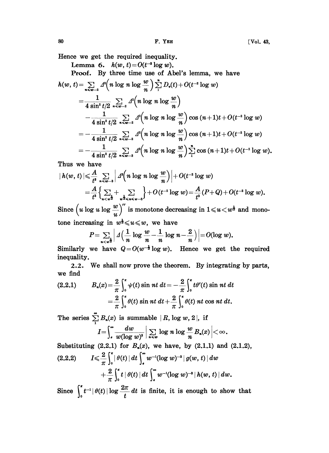Hence we get the required inequality.

Lemma 6.  $h(w, t) = O(t^{-3} \log w)$ .

Lemma 6.  $h(w, t) = O(t^{-s} \log w)$ .<br>Proof. By three time use of Abel's lemma, we have

$$
h(w, t) = \sum_{n \leq w-2} 4^{2} \left( n \log n \log \frac{w}{n} \right) \sum_{1}^{n} D_{v}(t) + O(t^{-2} \log w)
$$
  
= 
$$
\frac{1}{4 \sin^{2} t/2} \sum_{n \leq w-2} 4^{2} \left( n \log n \log \frac{w}{n} \right)
$$
  

$$
- \frac{1}{4 \sin^{2} t/2} \sum_{n \leq w-2} 4^{2} \left( n \log n \log \frac{w}{n} \right) \cos (n+1)t + O(t^{-2} \log w)
$$
  
= 
$$
- \frac{1}{4 \sin^{2} t/2} \sum_{n \leq w-2} 4^{2} \left( n \log n \log \frac{w}{n} \right) \cos (n+1)t + O(t^{-2} \log w)
$$
  
= 
$$
- \frac{1}{4 \sin^{2} t/2} \sum_{n \leq w-3} 4^{3} \left( n \log n \log \frac{w}{n} \right) \sum_{1}^{n} \cos (n+1)t + O(t^{-2} \log w).
$$

Thus we have

$$
|h(w, t)| \leqslant \frac{A}{t^3} \sum_{n \leqslant w-3} \left| \right. A^3\!\!\left(n \log n \log \frac{w}{n}\right) \Big| + O(t^{-2} \log w)
$$
\n
$$
= \frac{A}{t^3} \Big\{ \sum_{n \leqslant w-3} + \sum_{w \geqslant 3 \leqslant w-3} \Big\} + O(t^{-2} \log w) = \frac{A}{t^3} (P + Q) + O(t^{-2} \log w).
$$

Since  $\left(u \log u \log \frac{w}{u}\right)^n$  is monotone decreasing in  $1 \leq u \leq w^{\frac{1}{2}}$  and monotone increasing in  $w^{\frac{1}{2}} \leq u \leq w$ , we have

$$
P = \sum_{n < w^2} \left| \Delta \left( \frac{1}{n} \log \frac{w}{n} - \frac{1}{n} \log n - \frac{2}{n} \right) \right| = O(\log w).
$$

Similarly we have  $Q = O(w^{-\frac{1}{2}} \log w)$ . Hence we get the required inequality.

2.2. We shall now prove the theorem. By integrating by parts, we find

$$
P = \sum_{n < w^2} \left| A \left( \frac{1}{n} \log \frac{n}{n} - \frac{1}{n} \log n - \frac{1}{n} \right) \right| = O(\log w).
$$
\nSimilarly we have  $Q = O(w^{-\frac{1}{2}} \log w)$ . Hence we get the inequality.

\n2.2. We shall now prove the theorem. By integration we find

\n
$$
(2.2.1) \qquad B_n(x) = \frac{2}{\pi} \int_0^{\pi} \psi(t) \sin nt \, dt = -\frac{2}{\pi} \int_0^{\pi} t \theta'(t) \sin nt \, dt
$$
\n
$$
= \frac{2}{\pi} \int_0^{\pi} \theta(t) \sin nt \, dt + \frac{2}{\pi} \int_0^{\pi} \theta(t) \, nt \cos nt \, dt.
$$

The series  $\sum_{1}^{\infty} B_n(x)$  is summable  $|R, \log w, 2|$ , if

$$
I=\int_{a}^{\infty}\frac{dw}{w(\log w)^{s}}\Big|\sum_{n\leq w}\log n\log\frac{w}{n}B_{n}(x)\Big|<\infty.
$$

Substituting  $(2.2.1)$  for  $B_n(x)$ , we have, by  $(2.1.1)$  and  $(2.1.2)$ ,

$$
(2.2.2) \qquad I \leqslant \frac{2}{\pi} \int_0^{\pi} |\theta(t)| \, dt \int_{\pi}^{\infty} w^{-1} (\log w)^{-3} |g(w, t)| \, dw
$$

$$
+ \frac{2}{\pi} \int_0^{\pi} t | \theta(t) | \, dt \int_{\pi}^{\infty} w^{-1} (\log w)^{-3} | h(w, t) | \, dw.
$$

Since  $\int_0^t t^{-1} |\theta(t)| \log \frac{2\pi}{t} dt$  is finite, it is enough to show that